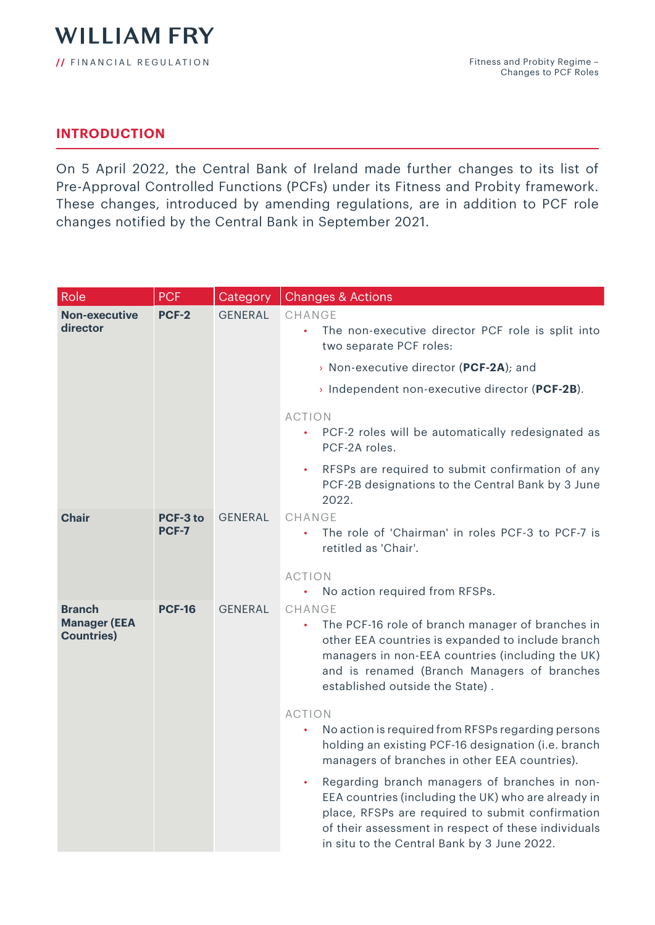## **INTRODUCTION**

On 5 April 2022, the Central Bank of Ireland made further changes to its list of Pre-Approval Controlled Functions (PCFs) under its Fitness and Probity framework. These changes, introduced by amending regulations, are in addition to PCF role changes notified by the Central Bank in September 2021.

| Role                                     | <b>PCF</b>               | Category       | <b>Changes &amp; Actions</b>                                                                                                                                                                                                                                   |
|------------------------------------------|--------------------------|----------------|----------------------------------------------------------------------------------------------------------------------------------------------------------------------------------------------------------------------------------------------------------------|
| <b>Non-executive</b><br>director         | PCF-2                    | <b>GENERAL</b> | CHANGE<br>The non-executive director PCF role is split into<br>two separate PCF roles:                                                                                                                                                                         |
|                                          |                          |                | > Non-executive director (PCF-2A); and                                                                                                                                                                                                                         |
|                                          |                          |                | > Independent non-executive director (PCF-2B).                                                                                                                                                                                                                 |
|                                          |                          |                | <b>ACTION</b><br>PCF-2 roles will be automatically redesignated as<br>$\bullet$<br>PCF-2A roles.                                                                                                                                                               |
|                                          |                          |                | RFSPs are required to submit confirmation of any<br>$\bullet$<br>PCF-2B designations to the Central Bank by 3 June<br>2022.                                                                                                                                    |
| <b>Chair</b>                             | <b>PCF-3 to</b><br>PCF-7 | <b>GENERAL</b> | CHANGE<br>The role of 'Chairman' in roles PCF-3 to PCF-7 is<br>retitled as 'Chair'.                                                                                                                                                                            |
|                                          |                          |                | <b>ACTION</b>                                                                                                                                                                                                                                                  |
| <b>Branch</b>                            | <b>PCF-16</b>            | <b>GENERAL</b> | No action required from RFSPs.<br>$\bullet$<br><b>CHANGE</b>                                                                                                                                                                                                   |
| <b>Manager (EEA</b><br><b>Countries)</b> |                          |                | The PCF-16 role of branch manager of branches in<br>other EEA countries is expanded to include branch<br>managers in non-EEA countries (including the UK)<br>and is renamed (Branch Managers of branches<br>established outside the State).                    |
|                                          |                          |                | <b>ACTION</b>                                                                                                                                                                                                                                                  |
|                                          |                          |                | No action is required from RFSPs regarding persons<br>holding an existing PCF-16 designation (i.e. branch<br>managers of branches in other EEA countries).                                                                                                     |
|                                          |                          |                | Regarding branch managers of branches in non-<br>EEA countries (including the UK) who are already in<br>place, RFSPs are required to submit confirmation<br>of their assessment in respect of these individuals<br>in situ to the Central Bank by 3 June 2022. |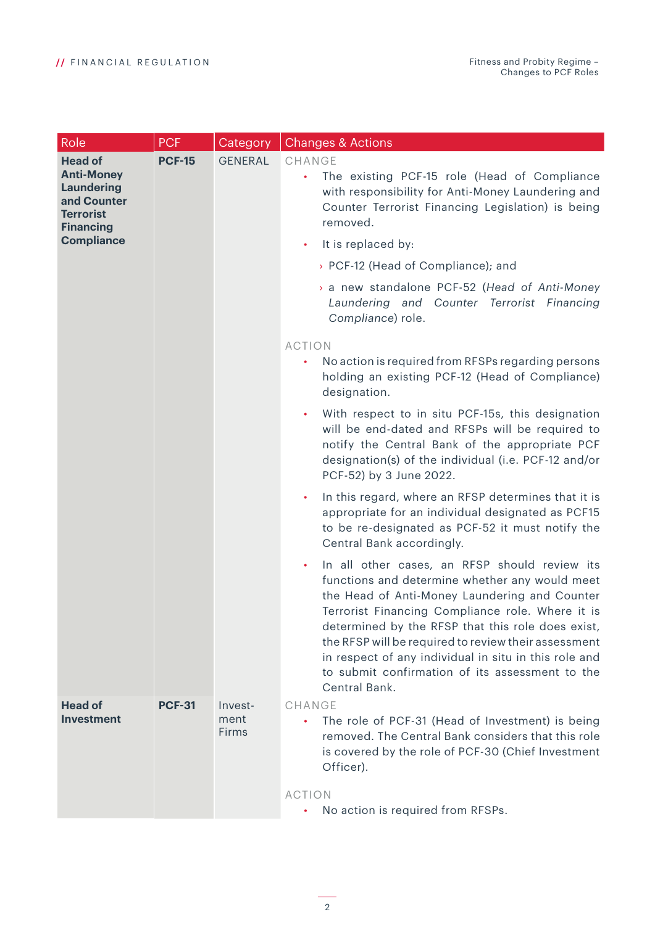| Role                                                                                                            | <b>PCF</b>    | Category                 | <b>Changes &amp; Actions</b>                                                                                                                                                                                                                                                                                                                                                                                                                                |
|-----------------------------------------------------------------------------------------------------------------|---------------|--------------------------|-------------------------------------------------------------------------------------------------------------------------------------------------------------------------------------------------------------------------------------------------------------------------------------------------------------------------------------------------------------------------------------------------------------------------------------------------------------|
| <b>Head of</b><br><b>Anti-Money</b><br><b>Laundering</b><br>and Counter<br><b>Terrorist</b><br><b>Financing</b> | <b>PCF-15</b> | <b>GENERAL</b>           | CHANGE<br>The existing PCF-15 role (Head of Compliance<br>$\bullet$<br>with responsibility for Anti-Money Laundering and<br>Counter Terrorist Financing Legislation) is being<br>removed.                                                                                                                                                                                                                                                                   |
| <b>Compliance</b>                                                                                               |               |                          | It is replaced by:<br>$\bullet$                                                                                                                                                                                                                                                                                                                                                                                                                             |
|                                                                                                                 |               |                          | > PCF-12 (Head of Compliance); and                                                                                                                                                                                                                                                                                                                                                                                                                          |
|                                                                                                                 |               |                          | > a new standalone PCF-52 (Head of Anti-Money<br>Laundering and Counter Terrorist Financing<br>Compliance) role.                                                                                                                                                                                                                                                                                                                                            |
|                                                                                                                 |               |                          | <b>ACTION</b>                                                                                                                                                                                                                                                                                                                                                                                                                                               |
|                                                                                                                 |               |                          | No action is required from RFSPs regarding persons<br>holding an existing PCF-12 (Head of Compliance)<br>designation.                                                                                                                                                                                                                                                                                                                                       |
|                                                                                                                 |               |                          | With respect to in situ PCF-15s, this designation<br>$\bullet$<br>will be end-dated and RFSPs will be required to<br>notify the Central Bank of the appropriate PCF<br>designation(s) of the individual (i.e. PCF-12 and/or<br>PCF-52) by 3 June 2022.                                                                                                                                                                                                      |
|                                                                                                                 |               |                          | In this regard, where an RFSP determines that it is<br>$\bullet$<br>appropriate for an individual designated as PCF15<br>to be re-designated as PCF-52 it must notify the<br>Central Bank accordingly.                                                                                                                                                                                                                                                      |
|                                                                                                                 |               |                          | In all other cases, an RFSP should review its<br>$\bullet$<br>functions and determine whether any would meet<br>the Head of Anti-Money Laundering and Counter<br>Terrorist Financing Compliance role. Where it is<br>determined by the RFSP that this role does exist,<br>the RFSP will be required to review their assessment<br>in respect of any individual in situ in this role and<br>to submit confirmation of its assessment to the<br>Central Bank. |
| <b>Head of</b><br><b>Investment</b>                                                                             | <b>PCF-31</b> | Invest-<br>ment<br>Firms | CHANGE<br>The role of PCF-31 (Head of Investment) is being<br>removed. The Central Bank considers that this role<br>is covered by the role of PCF-30 (Chief Investment<br>Officer).                                                                                                                                                                                                                                                                         |
|                                                                                                                 |               |                          | <b>ACTION</b><br>No action is required from RFSPs.<br>$\bullet$                                                                                                                                                                                                                                                                                                                                                                                             |